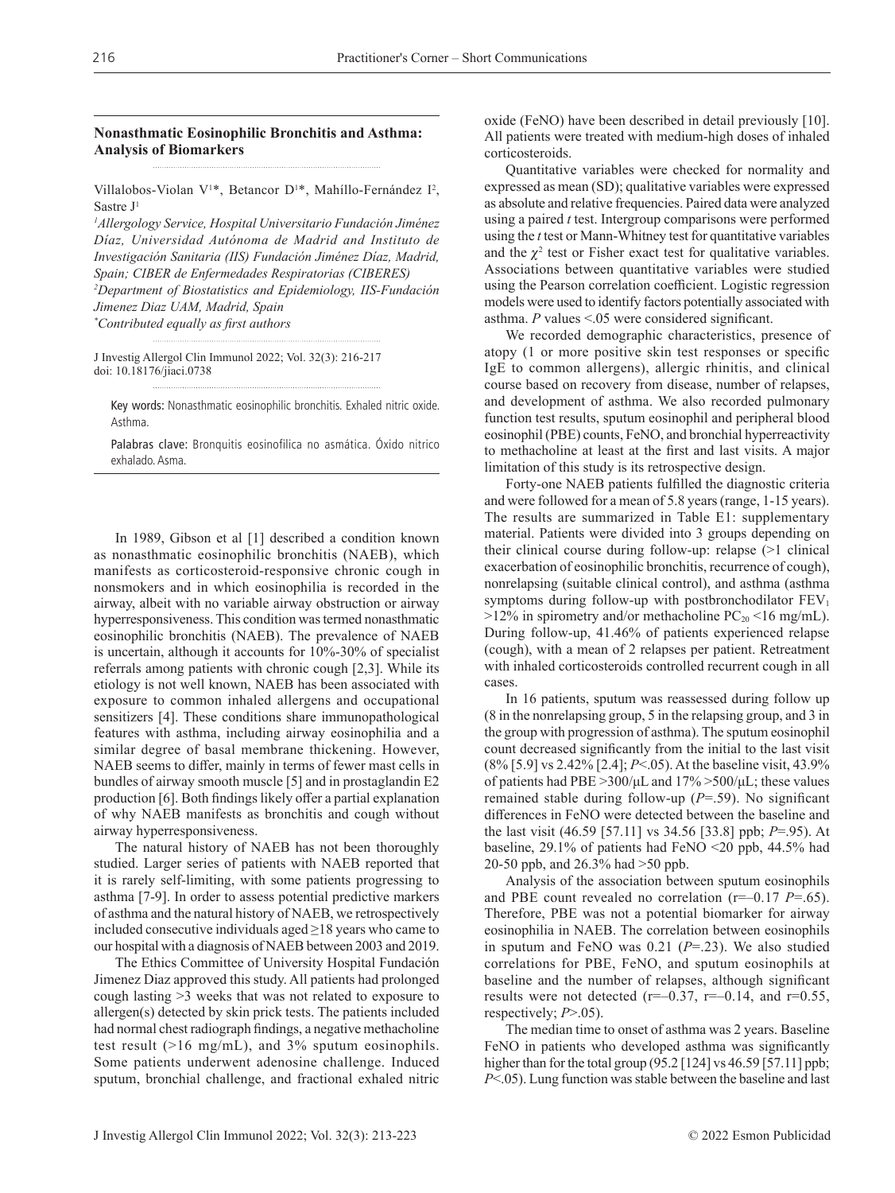## **Nonasthmatic Eosinophilic Bronchitis and Asthma: Analysis of Biomarkers**

Villalobos-Violan V<sup>1\*</sup>, Betancor D<sup>1\*</sup>, Mahíllo-Fernández I<sup>2</sup>, Sastre J1

*1 Allergology Service, Hospital Universitario Fundación Jiménez Díaz, Universidad Autónoma de Madrid and Instituto de Investigación Sanitaria (IIS) Fundación Jiménez Díaz, Madrid, Spain; CIBER de Enfermedades Respiratorias (CIBERES) 2 Department of Biostatistics and Epidemiology, IIS-Fundación Jimenez Diaz UAM, Madrid, Spain \* Contributed equally as first authors*

J Investig Allergol Clin Immunol 2022; Vol. 32(3): 216-217 doi: 10.18176/jiaci.0738

Key words: Nonasthmatic eosinophilic bronchitis. Exhaled nitric oxide. Asthma.

Palabras clave: Bronquitis eosinofilica no asmática. Óxido nitrico exhalado. Asma.

In 1989, Gibson et al [1] described a condition known as nonasthmatic eosinophilic bronchitis (NAEB), which manifests as corticosteroid-responsive chronic cough in nonsmokers and in which eosinophilia is recorded in the airway, albeit with no variable airway obstruction or airway hyperresponsiveness. This condition was termed nonasthmatic eosinophilic bronchitis (NAEB). The prevalence of NAEB is uncertain, although it accounts for 10%-30% of specialist referrals among patients with chronic cough [2,3]. While its etiology is not well known, NAEB has been associated with exposure to common inhaled allergens and occupational sensitizers [4]. These conditions share immunopathological features with asthma, including airway eosinophilia and a similar degree of basal membrane thickening. However, NAEB seems to differ, mainly in terms of fewer mast cells in bundles of airway smooth muscle [5] and in prostaglandin E2 production [6]. Both findings likely offer a partial explanation of why NAEB manifests as bronchitis and cough without airway hyperresponsiveness.

The natural history of NAEB has not been thoroughly studied. Larger series of patients with NAEB reported that it is rarely self-limiting, with some patients progressing to asthma [7-9]. In order to assess potential predictive markers of asthma and the natural history of NAEB, we retrospectively included consecutive individuals aged  $\geq$ 18 years who came to our hospital with a diagnosis of NAEB between 2003 and 2019.

The Ethics Committee of University Hospital Fundación Jimenez Diaz approved this study. All patients had prolonged cough lasting >3 weeks that was not related to exposure to allergen(s) detected by skin prick tests. The patients included had normal chest radiograph findings, a negative methacholine test result (>16 mg/mL), and 3% sputum eosinophils. Some patients underwent adenosine challenge. Induced sputum, bronchial challenge, and fractional exhaled nitric oxide (FeNO) have been described in detail previously [10]. All patients were treated with medium-high doses of inhaled corticosteroids.

Quantitative variables were checked for normality and expressed as mean (SD); qualitative variables were expressed as absolute and relative frequencies. Paired data were analyzed using a paired *t* test. Intergroup comparisons were performed using the *t* test or Mann-Whitney test for quantitative variables and the  $\chi^2$  test or Fisher exact test for qualitative variables. Associations between quantitative variables were studied using the Pearson correlation coefficient. Logistic regression models were used to identify factors potentially associated with asthma. *P* values <.05 were considered significant.

We recorded demographic characteristics, presence of atopy (1 or more positive skin test responses or specific IgE to common allergens), allergic rhinitis, and clinical course based on recovery from disease, number of relapses, and development of asthma. We also recorded pulmonary function test results, sputum eosinophil and peripheral blood eosinophil (PBE) counts, FeNO, and bronchial hyperreactivity to methacholine at least at the first and last visits. A major limitation of this study is its retrospective design.

Forty-one NAEB patients fulfilled the diagnostic criteria and were followed for a mean of 5.8 years (range, 1-15 years). The results are summarized in Table E1: supplementary material. Patients were divided into 3 groups depending on their clinical course during follow-up: relapse (>1 clinical exacerbation of eosinophilic bronchitis, recurrence of cough), nonrelapsing (suitable clinical control), and asthma (asthma symptoms during follow-up with postbronchodilator  $FEV<sub>1</sub>$  $>12\%$  in spirometry and/or methacholine PC<sub>20</sub> <16 mg/mL). During follow-up, 41.46% of patients experienced relapse (cough), with a mean of 2 relapses per patient. Retreatment with inhaled corticosteroids controlled recurrent cough in all cases.

In 16 patients, sputum was reassessed during follow up (8 in the nonrelapsing group, 5 in the relapsing group, and 3 in the group with progression of asthma). The sputum eosinophil count decreased significantly from the initial to the last visit (8% [5.9] vs 2.42% [2.4]; *P*<.05). At the baseline visit, 43.9% of patients had PBE  $>300/\mu L$  and  $17\% > 500/\mu L$ ; these values remained stable during follow-up (*P*=.59). No significant differences in FeNO were detected between the baseline and the last visit (46.59 [57.11] vs 34.56 [33.8] ppb; *P*=.95). At baseline, 29.1% of patients had FeNO <20 ppb, 44.5% had 20-50 ppb, and 26.3% had >50 ppb.

Analysis of the association between sputum eosinophils and PBE count revealed no correlation (r=–0.17 *P*=.65). Therefore, PBE was not a potential biomarker for airway eosinophilia in NAEB. The correlation between eosinophils in sputum and FeNO was 0.21 (*P*=.23). We also studied correlations for PBE, FeNO, and sputum eosinophils at baseline and the number of relapses, although significant results were not detected ( $r=-0.37$ ,  $r=-0.14$ , and  $r=0.55$ , respectively; *P*>.05).

The median time to onset of asthma was 2 years. Baseline FeNO in patients who developed asthma was significantly higher than for the total group (95.2 [124] vs 46.59 [57.11] ppb; *P*<.05). Lung function was stable between the baseline and last